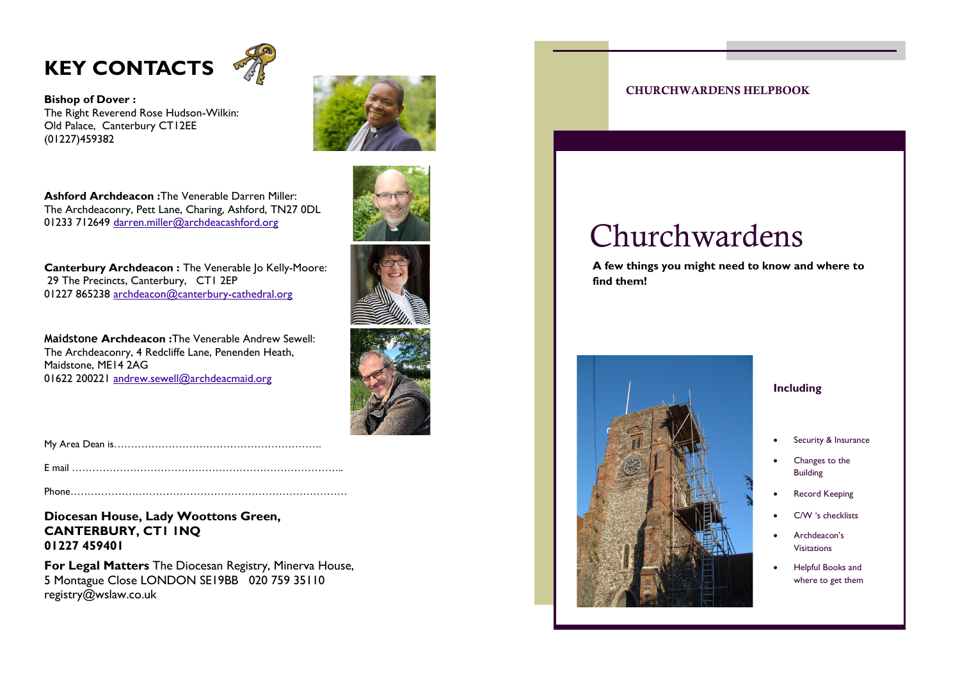



**Bishop of Dover :**  The Right Reverend Rose Hudson-Wilkin: Old Palace, Canterbury CT12EE (01227)459382



**Ashford Archdeacon :**The Venerable Darren Miller: The Archdeaconry, Pett Lane, Charing, Ashford, TN27 0DL 01233 712649 [darren.miller@archdeacashford.org](mailto:pdown@archdeacashford.org)

**Canterbury Archdeacon: The Venerable Io Kelly-Moore:** 29 The Precincts, Canterbury, CT1 2EP 01227 865238 [archdeacon@canterbury-cathedral.org](mailto:archdeacon@canterbury-cathedral.org)

**Maidstone Archdeacon :**The Venerable Andrew Sewell: The Archdeaconry, 4 Redcliffe Lane, Penenden Heath, Maidstone, ME14 2AG 01622 200221 [andrew.sewell@archdeacmaid.org](mailto:staylor@archdeacmaid.org)







My Area Dean is…………………………………………………….

E mail ……………………………………………………………………..

Phone………………………………………………………………………

**Diocesan House, Lady Woottons Green, CANTERBURY, CT1 1NQ 01227 459401**

**For Legal Matters** The Diocesan Registry, Minerva House, 5 Montague Close LONDON SE19BB 020 759 35110 registry@wslaw.co.uk



### CHURCHWARDENS HELPBOOK

# Churchwardens

**A few things you might need to know and where to find them!**

### Security & Insurance

**Including**

- Changes to the Building
- Record Keeping
- C/W 's checklists
- Archdeacon's Visitations
- Helpful Books and where to get them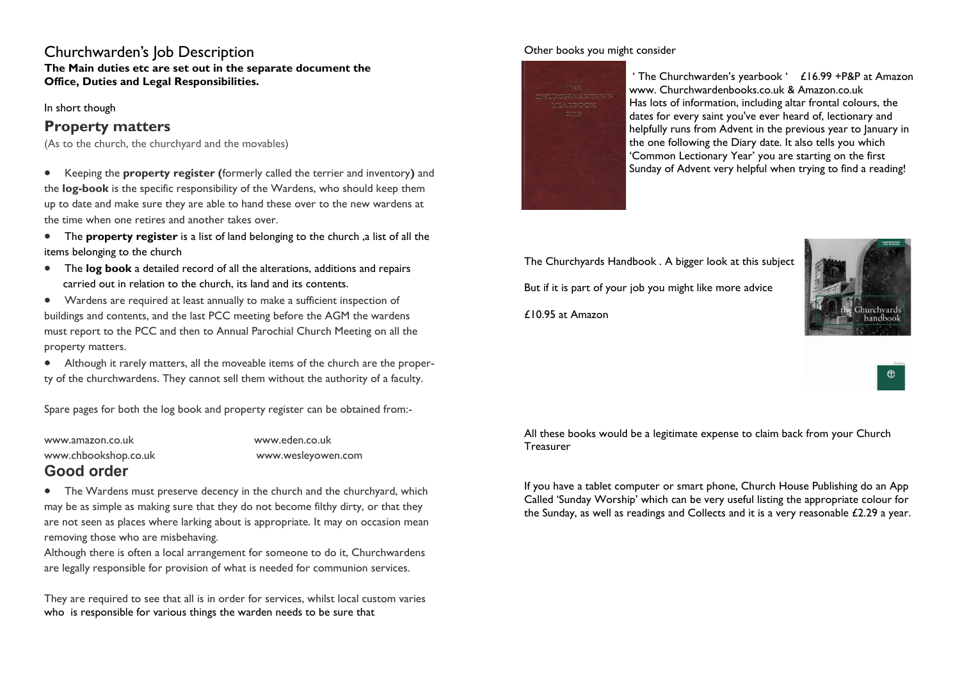### Churchwarden's Job Description

**The Main duties etc are set out in the separate document the Office, Duties and Legal Responsibilities.**

In short though

### **Property matters**

(As to the church, the churchyard and the movables)

- Keeping the **property register (**formerly called the terrier and inventory**)** and the **log-book** is the specific responsibility of the Wardens, who should keep them up to date and make sure they are able to hand these over to the new wardens at the time when one retires and another takes over.
- The **property register** is a list of land belonging to the church ,a list of all the items belonging to the church
- The **log book** a detailed record of all the alterations, additions and repairs carried out in relation to the church, its land and its contents.
- Wardens are required at least annually to make a sufficient inspection of buildings and contents, and the last PCC meeting before the AGM the wardens must report to the PCC and then to Annual Parochial Church Meeting on all the property matters.
- Although it rarely matters, all the moveable items of the church are the property of the churchwardens. They cannot sell them without the authority of a faculty.

Spare pages for both the log book and property register can be obtained from:-

www.amazon.co.uk www.eden.co.uk www.chbookshop.co.uk www.wesleyowen.com

### **Good order**

• The Wardens must preserve decency in the church and the churchyard, which may be as simple as making sure that they do not become filthy dirty, or that they are not seen as places where larking about is appropriate. It may on occasion mean removing those who are misbehaving.

Although there is often a local arrangement for someone to do it, Churchwardens are legally responsible for provision of what is needed for communion services.

They are required to see that all is in order for services, whilst local custom varies who is responsible for various things the warden needs to be sure that

### Other books you might consider



' The Churchwarden's yearbook ' £16.99 +P&P at Amazon www. Churchwardenbooks.co.uk & Amazon.co.uk Has lots of information, including altar frontal colours, the dates for every saint you've ever heard of, lectionary and helpfully runs from Advent in the previous year to January in the one following the Diary date. It also tells you which 'Common Lectionary Year' you are starting on the first Sunday of Advent very helpful when trying to find a reading!

The Churchyards Handbook . A bigger look at this subject

But if it is part of your job you might like more advice

£10.95 at Amazon



All these books would be a legitimate expense to claim back from your Church **Treasurer** 

If you have a tablet computer or smart phone, Church House Publishing do an App Called 'Sunday Worship' which can be very useful listing the appropriate colour for the Sunday, as well as readings and Collects and it is a very reasonable £2.29 a year.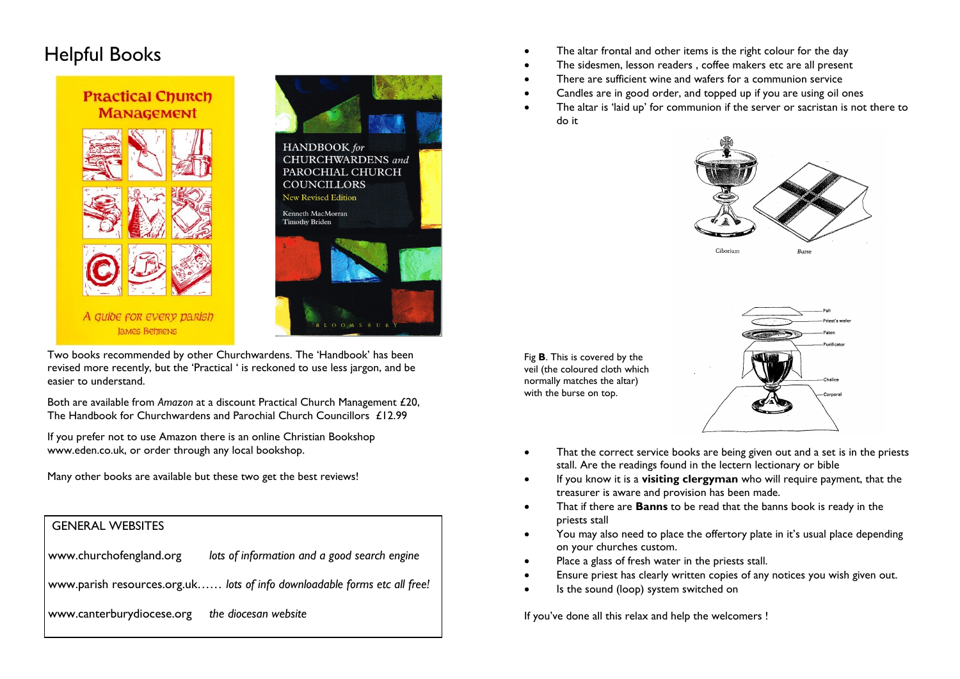

Two books recommended by other Churchwardens. The 'Handbook' has been revised more recently, but the 'Practical ' is reckoned to use less jargon, and be easier to understand.

Both are available from *Amazon* at a discount Practical Church Management £20, The Handbook for Churchwardens and Parochial Church Councillors £12.99

If you prefer not to use Amazon there is an online Christian Bookshop www.eden.co.uk, or order through any local bookshop.

Many other books are available but these two get the best reviews!

### GENERAL WEBSITES

| www.churchofengland.org<br>lots of information and a good search engine |
|-------------------------------------------------------------------------|
|-------------------------------------------------------------------------|

www.parish resources.org.uk*…… lots of info downloadable forms etc all free!*

www.canterburydiocese.org *the diocesan website*

Free altar frontal and other items is the right colour for the day<br>
The sidesman lesson readers coffee makers etc. are all present

- The sidesmen, lesson readers, coffee makers etc are all present
- There are sufficient wine and wafers for a communion service
- Candles are in good order, and topped up if you are using oil ones
- The altar is 'laid up' for communion if the server or sacristan is not there to do it



Fig **B**. This is covered by the veil (the coloured cloth which normally matches the altar) with the burse on top.



- That the correct service books are being given out and a set is in the priests stall. Are the readings found in the lectern lectionary or bible
- If you know it is a **visiting clergyman** who will require payment, that the treasurer is aware and provision has been made.
- That if there are **Banns** to be read that the banns book is ready in the priests stall
- You may also need to place the offertory plate in it's usual place depending on your churches custom.
- Place a glass of fresh water in the priests stall.
- Ensure priest has clearly written copies of any notices you wish given out.
- Is the sound (loop) system switched on

If you've done all this relax and help the welcomers !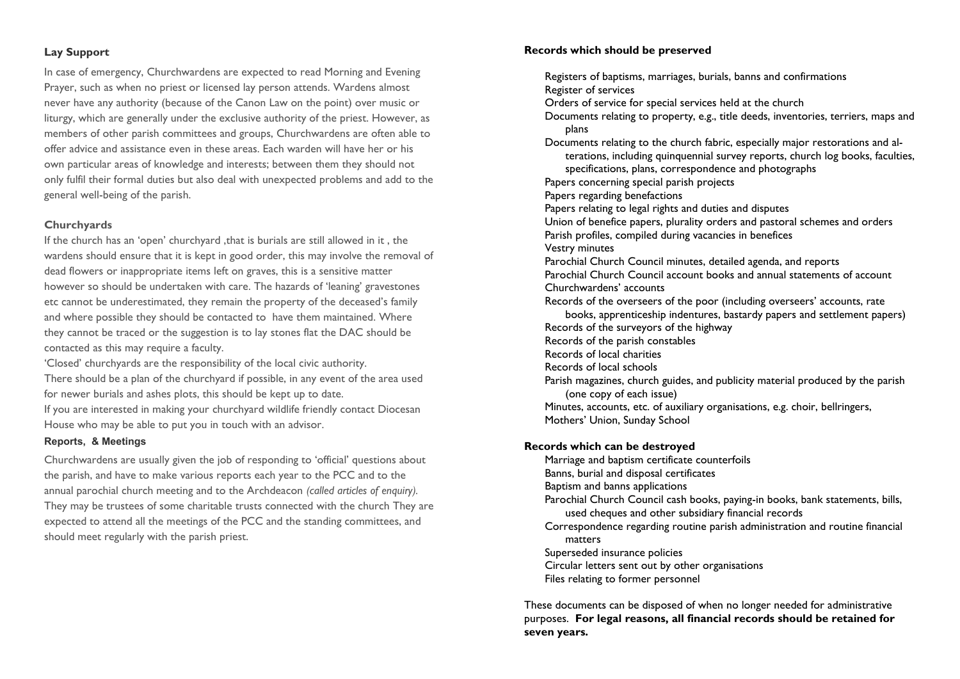### **Lay Support**

In case of emergency, Churchwardens are expected to read Morning and Evening Prayer, such as when no priest or licensed lay person attends. Wardens almost never have any authority (because of the Canon Law on the point) over music or liturgy, which are generally under the exclusive authority of the priest. However, as members of other parish committees and groups, Churchwardens are often able to offer advice and assistance even in these areas. Each warden will have her or his own particular areas of knowledge and interests; between them they should not only fulfil their formal duties but also deal with unexpected problems and add to the general well-being of the parish.

### **Churchyards**

If the church has an 'open' churchyard ,that is burials are still allowed in it , the wardens should ensure that it is kept in good order, this may involve the removal of dead flowers or inappropriate items left on graves, this is a sensitive matter however so should be undertaken with care. The hazards of 'leaning' gravestones etc cannot be underestimated, they remain the property of the deceased's family and where possible they should be contacted to have them maintained. Where they cannot be traced or the suggestion is to lay stones flat the DAC should be contacted as this may require a faculty.

'Closed' churchyards are the responsibility of the local civic authority. There should be a plan of the churchyard if possible, in any event of the area used for newer burials and ashes plots, this should be kept up to date.

If you are interested in making your churchyard wildlife friendly contact Diocesan House who may be able to put you in touch with an advisor.

#### **Reports, & Meetings**

Churchwardens are usually given the job of responding to 'official' questions about the parish, and have to make various reports each year to the PCC and to the annual parochial church meeting and to the Archdeacon *(called articles of enquiry).*  They may be trustees of some charitable trusts connected with the church They are expected to attend all the meetings of the PCC and the standing committees, and should meet regularly with the parish priest.

#### **Records which should be preserved**

Registers of baptisms, marriages, burials, banns and confirmations Register of services Orders of service for special services held at the church Documents relating to property, e.g., title deeds, inventories, terriers, maps and plans Documents relating to the church fabric, especially major restorations and alterations, including quinquennial survey reports, church log books, faculties, specifications, plans, correspondence and photographs Papers concerning special parish projects Papers regarding benefactions Papers relating to legal rights and duties and disputes Union of benefice papers, plurality orders and pastoral schemes and orders Parish profiles, compiled during vacancies in benefices Vestry minutes Parochial Church Council minutes, detailed agenda, and reports Parochial Church Council account books and annual statements of account Churchwardens' accounts Records of the overseers of the poor (including overseers' accounts, rate books, apprenticeship indentures, bastardy papers and settlement papers) Records of the surveyors of the highway Records of the parish constables Records of local charities Records of local schools Parish magazines, church guides, and publicity material produced by the parish (one copy of each issue) Minutes, accounts, etc. of auxiliary organisations, e.g. choir, bellringers, Mothers' Union, Sunday School **Records which can be destroyed** Marriage and baptism certificate counterfoils Banns, burial and disposal certificates Baptism and banns applications Parochial Church Council cash books, paying-in books, bank statements, bills, used cheques and other subsidiary financial records Correspondence regarding routine parish administration and routine financial matters Superseded insurance policies Circular letters sent out by other organisations Files relating to former personnel

These documents can be disposed of when no longer needed for administrative purposes. **For legal reasons, all financial records should be retained for seven years.**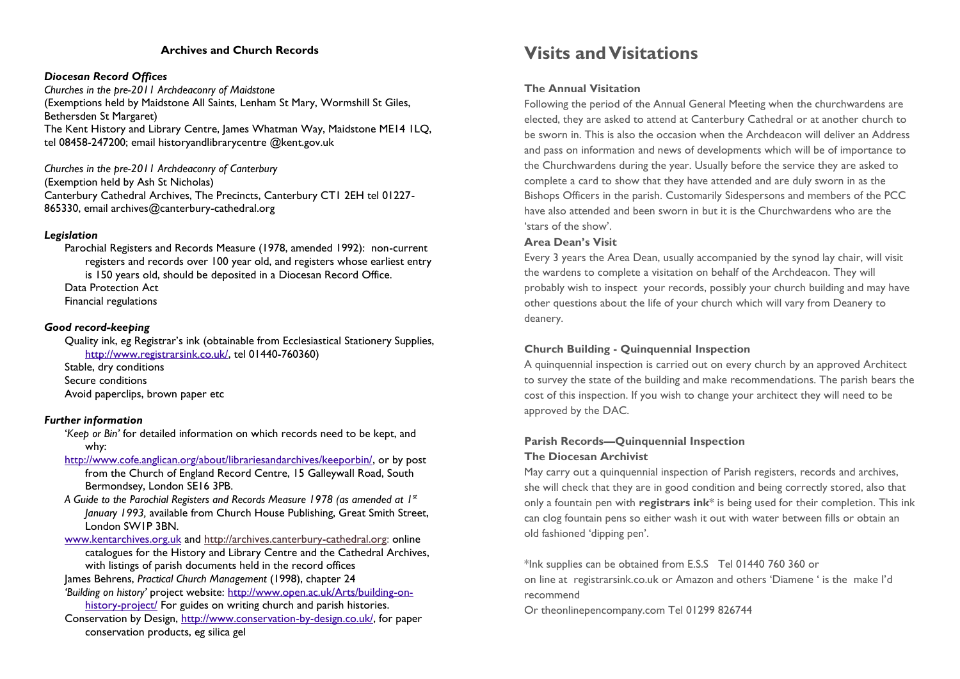### **Archives and Church Records**

#### *Diocesan Record Offices*

*Churches in the pre-2011 Archdeaconry of Maidstone* (Exemptions held by Maidstone All Saints, Lenham St Mary, Wormshill St Giles, Bethersden St Margaret) The Kent History and Library Centre, James Whatman Way, Maidstone ME14 ILQ, tel 08458-247200; email [historyandlibrarycentre @kent.gov.uk](mailto:historyandlibrarycentre@kent.gov.uk)

#### *Churches in the pre-2011 Archdeaconry of Canterbury*

(Exemption held by Ash St Nicholas) Canterbury Cathedral Archives, The Precincts, Canterbury CT1 2EH tel 01227- 865330, email archives@canterbury-cathedral.org

### *Legislation*

Parochial Registers and Records Measure (1978, amended 1992): non-current registers and records over 100 year old, and registers whose earliest entry is 150 years old, should be deposited in a Diocesan Record Office. Data Protection Act Financial regulations

#### *Good record-keeping*

Quality ink, eg Registrar's ink (obtainable from Ecclesiastical Stationery Supplies, [http://www.registrarsink.co.uk/,](http://www.registrarsink.co.uk/) tel 01440-760360)

Stable, dry conditions Secure conditions Avoid paperclips, brown paper etc

### *Further information*

'*Keep or Bin'* for detailed information on which records need to be kept, and why:

- [http://www.cofe.anglican.org/about/librariesandarchives/keeporbin/,](http://www.cofe.anglican.org/about/librariesandarchives/keeporbin/) or by post from the Church of England Record Centre, 15 Galleywall Road, South Bermondsey, London SE16 3PB.
- *A Guide to the Parochial Registers and Records Measure 1978 (as amended at 1st January 1993,* available from Church House Publishing, Great Smith Street, London SW1P 3BN.
- [www.kentarchives.org.uk](http://www.kentarchives.org.uk) and [http://archives.canterbury-cathedral.org:](http://archives.canterbury-cathedral.org) online catalogues for the History and Library Centre and the Cathedral Archives, with listings of parish documents held in the record offices
- James Behrens, *Practical Church Management* (1998), chapter 24 *'Building on history'* project website: [http://www.open.ac.uk/Arts/building-on-](http://www.open.ac.uk/Arts/building-on-history-project/)
- [history-project/](http://www.open.ac.uk/Arts/building-on-history-project/) For guides on writing church and parish histories. Conservation by Design, [http://www.conservation-by-design.co.uk/,](http://www.conservation-by-design.co.uk/) for paper conservation products, eg silica gel

### **Visits and Visitations**

### **The Annual Visitation**

Following the period of the Annual General Meeting when the churchwardens are elected, they are asked to attend at Canterbury Cathedral or at another church to be sworn in. This is also the occasion when the Archdeacon will deliver an Address and pass on information and news of developments which will be of importance to the Churchwardens during the year. Usually before the service they are asked to complete a card to show that they have attended and are duly sworn in as the Bishops Officers in the parish. Customarily Sidespersons and members of the PCC have also attended and been sworn in but it is the Churchwardens who are the 'stars of the show'.

### **Area Dean's Visit**

Every 3 years the Area Dean, usually accompanied by the synod lay chair, will visit the wardens to complete a visitation on behalf of the Archdeacon. They will probably wish to inspect your records, possibly your church building and may have other questions about the life of your church which will vary from Deanery to deanery.

### **Church Building - Quinquennial Inspection**

A quinquennial inspection is carried out on every church by an approved Architect to survey the state of the building and make recommendations. The parish bears the cost of this inspection. If you wish to change your architect they will need to be approved by the DAC.

### **Parish Records—Quinquennial Inspection**

### **The Diocesan Archivist**

May carry out a quinquennial inspection of Parish registers, records and archives, she will check that they are in good condition and being correctly stored, also that only a fountain pen with **registrars ink**\* is being used for their completion. This ink can clog fountain pens so either wash it out with water between fills or obtain an old fashioned 'dipping pen'.

\*Ink supplies can be obtained from E.S.S Tel 01440 760 360 or on line at registrarsink.co.uk or Amazon and others 'Diamene ' is the make I'd recommend

Or theonlinepencompany.com Tel 01299 826744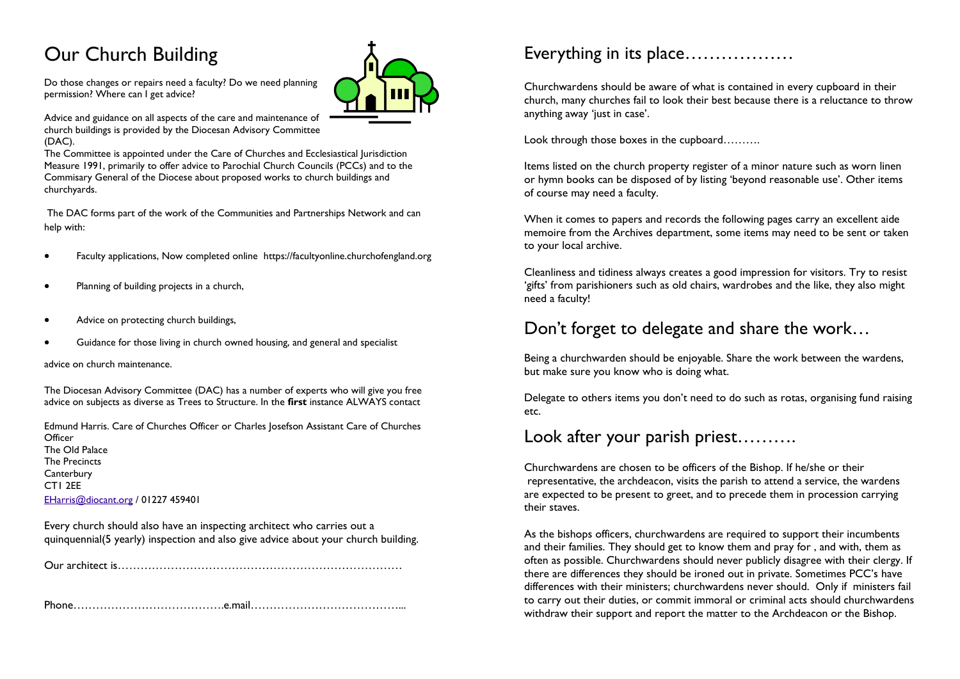# Our Church Building

Do those changes or repairs need a faculty? Do we need planning permission? Where can I get advice?

Advice and guidance on all aspects of the care and maintenance of church buildings is provided by the Diocesan Advisory Committee (DAC).

The Committee is appointed under the Care of Churches and Ecclesiastical Jurisdiction Measure 1991, primarily to offer advice to Parochial Church Councils (PCCs) and to the Commisary General of the Diocese about proposed works to church buildings and churchyards.

The DAC forms part of the work of the Communities and Partnerships Network and can help with:

- Faculty applications, Now completed online https://facultyonline.churchofengland.org
- Planning of building projects in a church,
- Advice on protecting church buildings,
- Guidance for those living in church owned housing, and general and specialist

advice on church maintenance.

The Diocesan Advisory Committee (DAC) has a number of experts who will give you free advice on subjects as diverse as Trees to Structure. In the **first** instance ALWAYS contact

Edmund Harris. Care of Churches Officer or Charles Josefson Assistant Care of Churches **Officer** The Old Palace The Precincts **Canterbury** CT1 2EE [EHarris@diocant.org](mailto:idodd@propcant.org) / 01227 459401

Every church should also have an inspecting architect who carries out a quinquennial(5 yearly) inspection and also give advice about your church building.

Our architect is…………………………………………………………………

Phone………………………………….e.mail…………………………………...

## Everything in its place………………

Churchwardens should be aware of what is contained in every cupboard in their church, many churches fail to look their best because there is a reluctance to throw anything away 'just in case'.

Look through those boxes in the cupboard……….

Items listed on the church property register of a minor nature such as worn linen or hymn books can be disposed of by listing 'beyond reasonable use'. Other items of course may need a faculty.

When it comes to papers and records the following pages carry an excellent aide memoire from the Archives department, some items may need to be sent or taken to your local archive.

Cleanliness and tidiness always creates a good impression for visitors. Try to resist 'gifts' from parishioners such as old chairs, wardrobes and the like, they also might need a faculty!

### Don't forget to delegate and share the work…

Being a churchwarden should be enjoyable. Share the work between the wardens, but make sure you know who is doing what.

Delegate to others items you don't need to do such as rotas, organising fund raising etc.

### Look after your parish priest……….

Churchwardens are chosen to be officers of the Bishop. If he/she or their representative, the archdeacon, visits the parish to attend a service, the wardens are expected to be present to greet, and to precede them in procession carrying their staves.

As the bishops officers, churchwardens are required to support their incumbents and their families. They should get to know them and pray for , and with, them as often as possible. Churchwardens should never publicly disagree with their clergy. If there are differences they should be ironed out in private. Sometimes PCC's have differences with their ministers; churchwardens never should. Only if ministers fail to carry out their duties, or commit immoral or criminal acts should churchwardens withdraw their support and report the matter to the Archdeacon or the Bishop.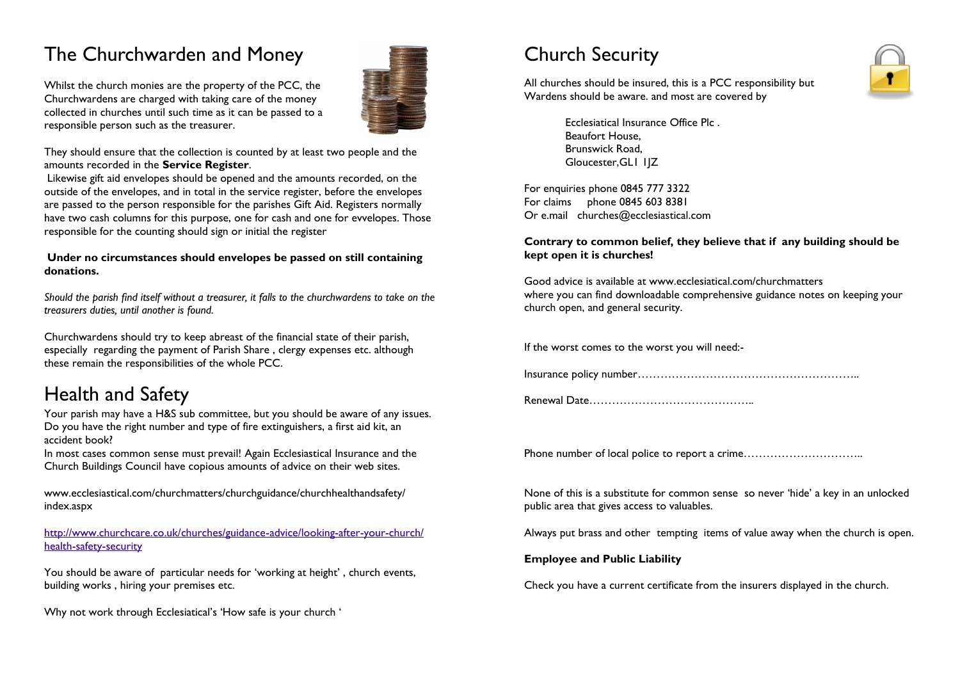# The Churchwarden and Money

responsible person such as the treasurer.

Whilst the church monies are the property of the PCC, the Churchwardens are charged with taking care of the money collected in churches until such time as it can be passed to a

They should ensure that the collection is counted by at least two people and the amounts recorded in the **Service Register**.

Likewise gift aid envelopes should be opened and the amounts recorded, on the outside of the envelopes, and in total in the service register, before the envelopes are passed to the person responsible for the parishes Gift Aid. Registers normally have two cash columns for this purpose, one for cash and one for evvelopes. Those responsible for the counting should sign or initial the register

### **Under no circumstances should envelopes be passed on still containing donations.**

*Should the parish find itself without a treasurer, it falls to the churchwardens to take on the treasurers duties, until another is found.*

Churchwardens should try to keep abreast of the financial state of their parish, especially regarding the payment of Parish Share , clergy expenses etc. although these remain the responsibilities of the whole PCC.

# Health and Safety

Your parish may have a H&S sub committee, but you should be aware of any issues. Do you have the right number and type of fire extinguishers, a first aid kit, an accident book?

In most cases common sense must prevail! Again Ecclesiastical Insurance and the Church Buildings Council have copious amounts of advice on their web sites.

www.ecclesiastical.com/churchmatters/churchguidance/churchhealthandsafety/ index.aspx

[http://www.churchcare.co.uk/churches/guidance-advice/looking-after-your-church/](http://www.churchcare.co.uk/churches/guidance-advice/looking-after-your-church/health-safety-security) [health-safety-security](http://www.churchcare.co.uk/churches/guidance-advice/looking-after-your-church/health-safety-security)

You should be aware of particular needs for 'working at height' , church events, building works , hiring your premises etc.

Why not work through Ecclesiatical's 'How safe is your church '

# Church Security

All churches should be insured, this is a PCC responsibility but Wardens should be aware. and most are covered by



Ecclesiatical Insurance Office Plc . Beaufort House, Brunswick Road, Gloucester,GL1 1JZ

For enquiries phone 0845 777 3322 For claims phone 0845 603 8381 Or e.mail churches@ecclesiastical.com

### **Contrary to common belief, they believe that if any building should be kept open it is churches!**

Good advice is available at www.ecclesiatical.com/churchmatters where you can find downloadable comprehensive guidance notes on keeping your church open, and general security.

If the worst comes to the worst you will need:-

Insurance policy number…………………………………………………..

Renewal Date……………………………………..

Phone number of local police to report a crime..................................

None of this is a substitute for common sense so never 'hide' a key in an unlocked public area that gives access to valuables.

Always put brass and other tempting items of value away when the church is open.

### **Employee and Public Liability**

Check you have a current certificate from the insurers displayed in the church.